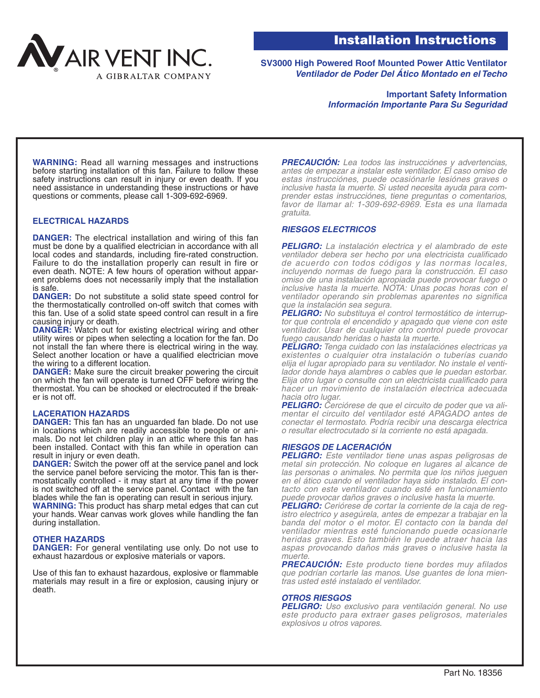

**SV3000 High Powered Roof Mounted Power Attic Ventilator Ventilador de Poder Del Ático Montado en el Techo**

> **Important Safety Information Información Importante Para Su Seguridad**

**WARNING:** Read all warning messages and instructions before starting installation of this fan. Failure to follow these safety instructions can result in injury or even death. If you need assistance in understanding these instructions or have questions or comments, please call 1-309-692-6969.

# **ELECTRICAL HAZARDS**

**DANGER:** The electrical installation and wiring of this fan must be done by a qualified electrician in accordance with all local codes and standards, including fire-rated construction. Failure to do the installation properly can result in fire or even death. NOTE: A few hours of operation without apparent problems does not necessarily imply that the installation is safe.

**DANGER:** Do not substitute a solid state speed control for the thermostatically controlled on-off switch that comes with this fan. Use of a solid state speed control can result in a fire causing injury or death.

**DANGER:** Watch out for existing electrical wiring and other utility wires or pipes when selecting a location for the fan. Do not install the fan where there is electrical wiring in the way. Select another location or have a qualified electrician move the wiring to a different location.

**DANGER:** Make sure the circuit breaker powering the circuit on which the fan will operate is turned OFF before wiring the thermostat. You can be shocked or electrocuted if the breaker is not off.

#### **LACERATION HAZARDS**

**DANGER:** This fan has an unguarded fan blade. Do not use in locations which are readily accessible to people or animals. Do not let children play in an attic where this fan has been installed. Contact with this fan while in operation can result in injury or even death.

**DANGER:** Switch the power off at the service panel and lock the service panel before servicing the motor. This fan is thermostatically controlled - it may start at any time if the power is not switched off at the service panel. Contact with the fan blades while the fan is operating can result in serious injury. **WARNING:** This product has sharp metal edges that can cut

your hands. Wear canvas work gloves while handling the fan during installation.

# **OTHER HAZARDS**

**DANGER:** For general ventilating use only. Do not use to exhaust hazardous or explosive materials or vapors.

Use of this fan to exhaust hazardous, explosive or flammable materials may result in a fire or explosion, causing injury or death.

**PRECAUCIÓN:** Lea todos las instrucciónes y advertencias, antes de empezar a instalar este ventilador. El caso omiso de estas instrucciónes, puede ocasiónarle lesiónes graves o inclusive hasta la muerte. Si usted necesita ayuda para comprender estas instrucciónes, tiene preguntas o comentarios, favor de llamar al: 1-309-692-6969. Esta es una llamada gratuita.

### **RIESGOS ELECTRICOS**

**PELIGRO:** La instalación electrica y el alambrado de este ventilador debera ser hecho por una electricista cualificado de acuerdo con todos códigos y las normas locales, incluyendo normas de fuego para la construcción. El caso omiso de una instalación apropiada puede provocar fuego o inclusive hasta la muerte. NOTA: Unas pocas horas con el ventilador operando sin problemas aparentes no significa que la instalación sea segura.

**PELIGRO:** No substituya el control termostático de interruptor que controla el encendido y apagado que viene con este ventilador. Usar de cualquier otro control puede provocar fuego causando heridas o hasta la muerte.

**PELIGRO:** Tenga cuidado con las instalaciónes electricas ya existentes o cualquier otra instalación o tuberías cuando elija el lugar apropiado para su ventilador. No instale el ventilador donde haya alambres o cables que le puedan estorbar. Elija otro lugar o consulte con un electricista cualificado para hacer un movimiento de instalación electrica adecuada hacia otro lugar.

**PELIGRO:** Cerciórese de que el circuito de poder que va alimentar el circuito del ventilador esté APAGADO antes de conectar el termostato. Podría recibir una descarga electrica o resultar electrocutado si la corriente no está apagada.

#### **RIESGOS DE LACERACIÓN**

**PELIGRO:** Este ventilador tiene unas aspas peligrosas de metal sin protección. No coloque en lugares al alcance de las personas o animales. No permita que los niños jueguen en el ático cuando el ventilador haya sido instalado. El contacto con este ventilador cuando esté en funcionamiento puede provocar daños graves o inclusive hasta la muerte.

**PELIGRO:** Ceriórese de cortar la corriente de la caja de registro electrico y asegúrela, antes de empezar a trabajar en la banda del motor o el motor. El contacto con la banda del ventilador mientras esté funcionando puede ocasionarle heridas graves. Esto también le puede atraer hacia las aspas provocando daños más graves o inclusive hasta la muerte.

**PRECAUCIÓN:** Este producto tiene bordes muy afilados que podrían cortarle las manos. Use guantes de lona mientras usted esté instalado el ventilador.

# **OTROS RIESGOS**

**PELIGRO:** Uso exclusivo para ventilación general. No use este producto para extraer gases peligrosos, materiales explosivos u otros vapores.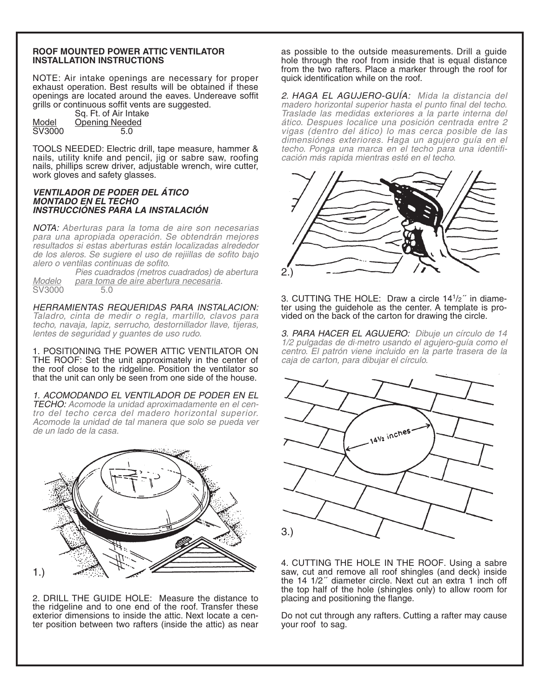# **ROOF MOUNTED POWER ATTIC VENTILATOR INSTALLATION INSTRUCTIONS**

NOTE: Air intake openings are necessary for proper exhaust operation. Best results will be obtained if these openings are located around the eaves. Undereave soffit grills or continuous soffit vents are suggested.

Sq. Ft. of Air Intake Model Opening Needed SV3000 5.0

TOOLS NEEDED: Electric drill, tape measure, hammer & nails, utility knife and pencil, jig or sabre saw, roofing nails, phillips screw driver, adjustable wrench, wire cutter, work gloves and safety glasses.

### **VENTILADOR DE PODER DEL ÁTICO MONTADO EN EL TECHO INSTRUCCIÓNES PARA LA INSTALACIÓN**

NOTA: Aberturas para la toma de aire son necesarias para una apropiada operación. Se obtendrán mejores resultados si estas aberturas están localizadas alrededor de los aleros. Se sugiere el uso de rejiillas de sofito bajo alero o ventilas continuas de sofito.

Pies cuadrados (metros cuadrados) de abertura Modelo para toma de aire abertura necesaria. SV3000 5.0

HERRAMIENTAS REQUERIDAS PARA INSTALACION: Taladro, cinta de medir o regla, martillo, clavos para techo, navaja, lapiz, serrucho, destornillador llave, tijeras, lentes de seguridad y guantes de uso rudo.

1. POSITIONING THE POWER ATTIC VENTILATOR ON THE ROOF: Set the unit approximately in the center of the roof close to the ridgeline. Position the ventilator so that the unit can only be seen from one side of the house.

1. ACOMODANDO EL VENTILADOR DE PODER EN EL TECHO: Acomode la unidad aproximadamente en el centro del techo cerca del madero horizontal superior. Acomode la unidad de tal manera que solo se pueda ver de un lado de la casa.



2. DRILL THE GUIDE HOLE: Measure the distance to the ridgeline and to one end of the roof. Transfer these exterior dimensions to inside the attic. Next locate a center position between two rafters (inside the attic) as near as possible to the outside measurements. Drill a guide hole through the roof from inside that is equal distance from the two rafters. Place a marker through the roof for quick identification while on the roof.

2. HAGA EL AGUJERO-GUÍA: Mida la distancia del madero horizontal superior hasta el punto final del techo. Traslade las medidas exteriores a la parte interna del ático. Despues localice una posición centrada entre 2 vigas (dentro del ático) lo mas cerca posible de las dimensiónes exteriores. Haga un agujero guía en el techo. Ponga una marca en el techo para una identificación más rapida mientras esté en el techo.



3. CUTTING THE HOLE: Draw a circle  $14<sup>1</sup>/2<sup>''</sup>$  in diameter using the guidehole as the center. A template is provided on the back of the carton for drawing the circle.

3. PARA HACER EL AGUJERO: Dibuje un círculo de 14 1/2 pulgadas de di·metro usando el agujero-guía como el centro. El patrón viene incluido en la parte trasera de la caja de carton, para dibujar el círculo.



4. CUTTING THE HOLE IN THE ROOF. Using a sabre saw, cut and remove all roof shingles (and deck) inside the 14 1/2<sup>"</sup> diameter circle. Next cut an extra 1 inch off the top half of the hole (shingles only) to allow room for placing and positioning the flange.

Do not cut through any rafters. Cutting a rafter may cause your roof to sag.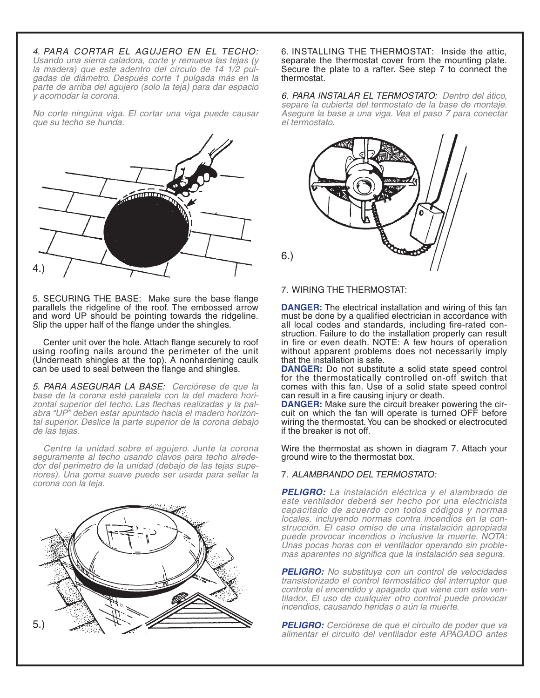4. PARA CORTAR EL AGUJERO EN EL TECHO: Usando una sierra caladora, corte y remueva las tejas (y la madera) que este adentro del círculo de 14 1/2 pulgadas de diámetro. Después corte 1 pulgada más en la parte de arriba del agujero (solo la teja) para dar espacio y acomodar la corona.

No corte ningúna viga. El cortar una viga puede causar que su techo se hunda.



5. SECURING THE BASE: Make sure the base flange parallels the ridgeline of the roof. The embossed arrow and word UP should be pointing towards the ridgeline. Slip the upper half of the flange under the shingles.

Center unit over the hole. Attach flange securely to roof using roofing nails around the perimeter of the unit (Underneath shingles at the top). A nonhardening caulk can be used to seal between the flange and shingles.

5. PARA ASEGURAR LA BASE: Cerciórese de que la base de la corona esté paralela con la del madero horizontal superior del techo. Las flechas realizadas y la palabra "UP" deben estar apuntado hacia el madero horizontal superior. Deslice la parte superior de la corona debajo de las tejas.

Centre la unidad sobre el agujero. Junte la corona seguramente al techo usando clavos para techo alrededor del perímetro de la unidad (debajo de las tejas superiores). Una goma suave puede ser usada para sellar la corona con la teja.



6. INSTALLING THE THERMOSTAT: Inside the attic, separate the thermostat cover from the mounting plate. Secure the plate to a rafter. See step 7 to connect the thermostat.

6. PARA INSTALAR EL TERMOSTATO: Dentro del ático, separe la cubierta del termostato de la base de montaje. Asegure la base a una viga. Vea el paso 7 para conectar el termostato.



7. WIRING THE THERMOSTAT:

**DANGER:** The electrical installation and wiring of this fan must be done by a qualified electrician in accordance with all local codes and standards, including fire-rated construction. Failure to do the installation properly can result in fire or even death. NOTE: A few hours of operation without apparent problems does not necessarily imply that the installation is safe.

**DANGER:** Do not substitute a solid state speed control for the thermostatically controlled on-off switch that comes with this fan. Use of a solid state speed control can result in a fire causing injury or death.

**DANGER:** Make sure the circuit breaker powering the circuit on which the fan will operate is turned OFF before wiring the thermostat. You can be shocked or electrocuted if the breaker is not off.

Wire the thermostat as shown in diagram 7. Attach your ground wire to the thermostat box.

# 7. ALAMBRANDO DEL TERMOSTATO:

**PELIGRO:** La instalación eléctrica y el alambrado de este ventilador deberá ser hecho por una electricista capacitado de acuerdo con todos códigos y normas locales, incluyendo normas contra incendios en la construcción. El caso omiso de una instalación apropiada puede provocar incendios o inclusive la muerte. NOTA: Unas pocas horas con el ventilador operando sin problemas aparentes no significa que la instalación sea segura.

**PELIGRO:** No substituya con un control de velocidades transistorizado el control termostático del interruptor que controla el encendido y apagado que viene con este ventilador. El uso de cualquier otro control puede provocar incendios, causando heridas o aún la muerte.

**PELIGRO:** Cerciórese de que el circuito de poder que va alimentar el circuito del ventilador este APAGADO antes